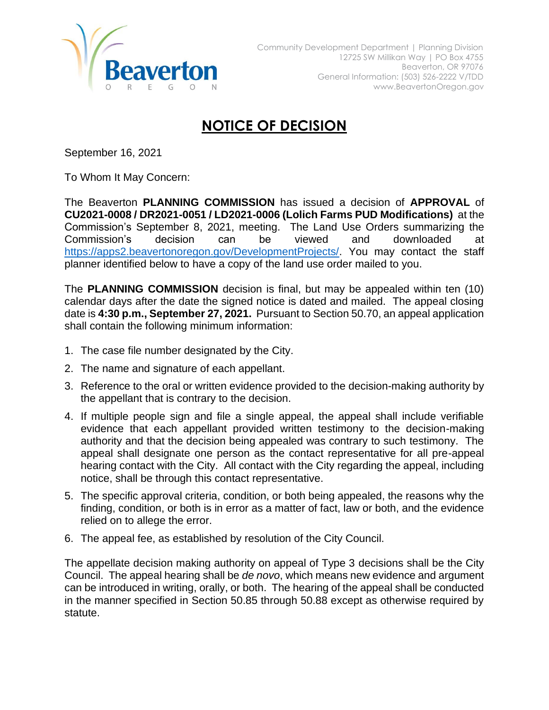

## **NOTICE OF DECISION**

September 16, 2021

To Whom It May Concern:

The Beaverton **PLANNING COMMISSION** has issued a decision of **APPROVAL** of **CU2021-0008 / DR2021-0051 / LD2021-0006 (Lolich Farms PUD Modifications)** at the Commission's September 8, 2021, meeting. The Land Use Orders summarizing the Commission's decision can be viewed and downloaded at [https://apps2.beavertonoregon.gov/DevelopmentProjects/.](https://apps2.beavertonoregon.gov/DevelopmentProjects/) You may contact the staff planner identified below to have a copy of the land use order mailed to you.

The **PLANNING COMMISSION** decision is final, but may be appealed within ten (10) calendar days after the date the signed notice is dated and mailed. The appeal closing date is **4:30 p.m., September 27, 2021.** Pursuant to Section 50.70, an appeal application shall contain the following minimum information:

- 1. The case file number designated by the City.
- 2. The name and signature of each appellant.
- 3. Reference to the oral or written evidence provided to the decision-making authority by the appellant that is contrary to the decision.
- 4. If multiple people sign and file a single appeal, the appeal shall include verifiable evidence that each appellant provided written testimony to the decision-making authority and that the decision being appealed was contrary to such testimony. The appeal shall designate one person as the contact representative for all pre-appeal hearing contact with the City. All contact with the City regarding the appeal, including notice, shall be through this contact representative.
- 5. The specific approval criteria, condition, or both being appealed, the reasons why the finding, condition, or both is in error as a matter of fact, law or both, and the evidence relied on to allege the error.
- 6. The appeal fee, as established by resolution of the City Council.

The appellate decision making authority on appeal of Type 3 decisions shall be the City Council. The appeal hearing shall be *de novo*, which means new evidence and argument can be introduced in writing, orally, or both. The hearing of the appeal shall be conducted in the manner specified in Section 50.85 through 50.88 except as otherwise required by statute.